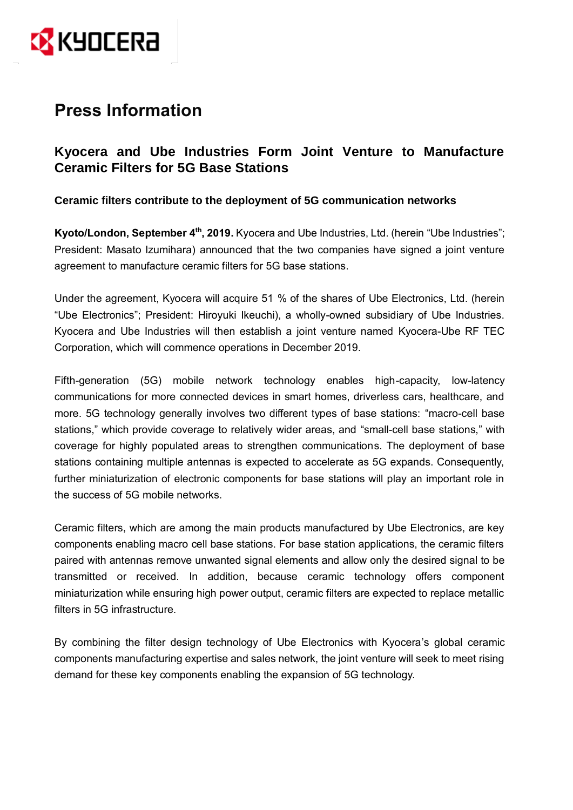

# **Press Information**

## **Kyocera and Ube Industries Form Joint Venture to Manufacture Ceramic Filters for 5G Base Stations**

## **Ceramic filters contribute to the deployment of 5G communication networks**

Kyoto/London, September 4<sup>th</sup>, 2019. Kyocera and Ube Industries, Ltd. (herein "Ube Industries"; President: Masato Izumihara) announced that the two companies have signed a joint venture agreement to manufacture ceramic filters for 5G base stations.

Under the agreement, Kyocera will acquire 51 % of the shares of Ube Electronics, Ltd. (herein "Ube Electronics"; President: Hiroyuki Ikeuchi), a wholly-owned subsidiary of Ube Industries. Kyocera and Ube Industries will then establish a joint venture named Kyocera-Ube RF TEC Corporation, which will commence operations in December 2019.

Fifth-generation (5G) mobile network technology enables high-capacity, low-latency communications for more connected devices in smart homes, driverless cars, healthcare, and more. 5G technology generally involves two different types of base stations: "macro-cell base stations," which provide coverage to relatively wider areas, and "small-cell base stations," with coverage for highly populated areas to strengthen communications. The deployment of base stations containing multiple antennas is expected to accelerate as 5G expands. Consequently, further miniaturization of electronic components for base stations will play an important role in the success of 5G mobile networks.

Ceramic filters, which are among the main products manufactured by Ube Electronics, are key components enabling macro cell base stations. For base station applications, the ceramic filters paired with antennas remove unwanted signal elements and allow only the desired signal to be transmitted or received. In addition, because ceramic technology offers component miniaturization while ensuring high power output, ceramic filters are expected to replace metallic filters in 5G infrastructure.

By combining the filter design technology of Ube Electronics with Kyocera's global ceramic components manufacturing expertise and sales network, the joint venture will seek to meet rising demand for these key components enabling the expansion of 5G technology.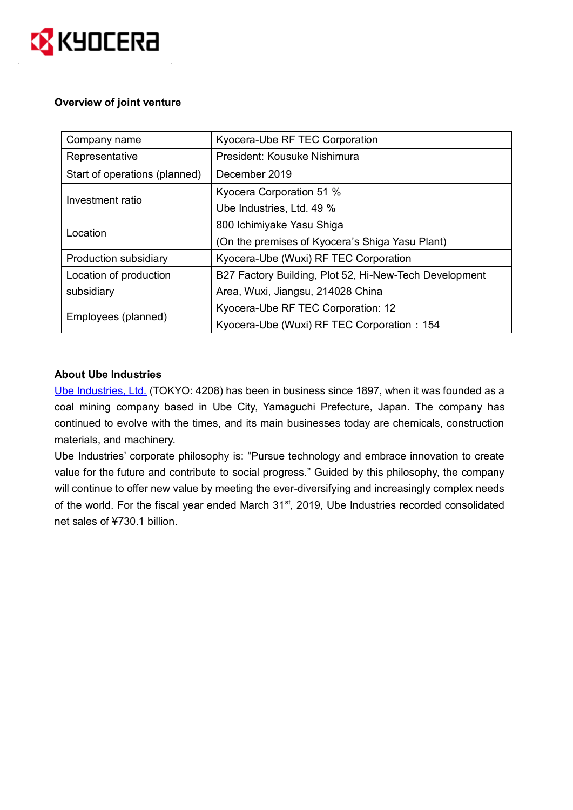

### **Overview of joint venture**

| Company name                  | Kyocera-Ube RF TEC Corporation                         |
|-------------------------------|--------------------------------------------------------|
| Representative                | President: Kousuke Nishimura                           |
| Start of operations (planned) | December 2019                                          |
| Investment ratio              | Kyocera Corporation 51 %                               |
|                               | Ube Industries, Ltd. 49 %                              |
| Location                      | 800 Ichimiyake Yasu Shiga                              |
|                               | (On the premises of Kyocera's Shiga Yasu Plant)        |
| Production subsidiary         | Kyocera-Ube (Wuxi) RF TEC Corporation                  |
| Location of production        | B27 Factory Building, Plot 52, Hi-New-Tech Development |
| subsidiary                    | Area, Wuxi, Jiangsu, 214028 China                      |
| Employees (planned)           | Kyocera-Ube RF TEC Corporation: 12                     |
|                               | Kyocera-Ube (Wuxi) RF TEC Corporation: 154             |

## **About Ube Industries**

[Ube Industries, Ltd.](https://www.ube-ind.co.jp/ube/en/index.html) (TOKYO: 4208) has been in business since 1897, when it was founded as a coal mining company based in Ube City, Yamaguchi Prefecture, Japan. The company has continued to evolve with the times, and its main businesses today are chemicals, construction materials, and machinery.

Ube Industries' corporate philosophy is: "Pursue technology and embrace innovation to create value for the future and contribute to social progress." Guided by this philosophy, the company will continue to offer new value by meeting the ever-diversifying and increasingly complex needs of the world. For the fiscal year ended March 31<sup>st</sup>, 2019, Ube Industries recorded consolidated net sales of ¥730.1 billion.